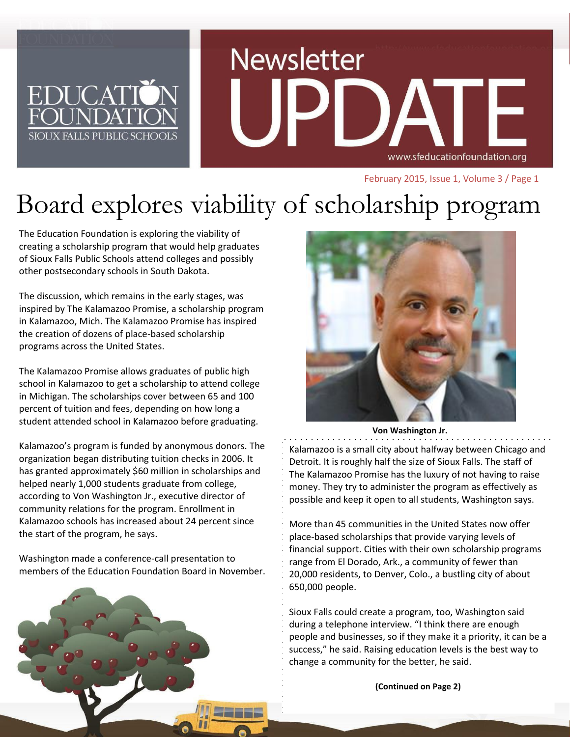# **Newsletter** www.sfeducationfoundation.org

February 2015, Issue 1, Volume 3 / Page 1

# Board explores viability of scholarship program

The Education Foundation is exploring the viability of creating a scholarship program that would help graduates of Sioux Falls Public Schools attend colleges and possibly other postsecondary schools in South Dakota.

**EDUCAT** 

SIOUX FALLS PUBLIC SCHOOL

The discussion, which remains in the early stages, was inspired by The Kalamazoo Promise, a scholarship program in Kalamazoo, Mich. The Kalamazoo Promise has inspired the creation of dozens of place-based scholarship programs across the United States.

The Kalamazoo Promise allows graduates of public high school in Kalamazoo to get a scholarship to attend college in Michigan. The scholarships cover between 65 and 100 percent of tuition and fees, depending on how long a student attended school in Kalamazoo before graduating.

Kalamazoo's program is funded by anonymous donors. The organization began distributing tuition checks in 2006. It has granted approximately \$60 million in scholarships and helped nearly 1,000 students graduate from college, according to Von Washington Jr., executive director of community relations for the program. Enrollment in Kalamazoo schools has increased about 24 percent since the start of the program, he says.

Washington made a conference-call presentation to members of the Education Foundation Board in November.





**Von Washington Jr.**

Kalamazoo is a small city about halfway between Chicago and Detroit. It is roughly half the size of Sioux Falls. The staff of The Kalamazoo Promise has the luxury of not having to raise money. They try to administer the program as effectively as possible and keep it open to all students, Washington says.

More than 45 communities in the United States now offer place-based scholarships that provide varying levels of financial support. Cities with their own scholarship programs range from El Dorado, Ark., a community of fewer than 20,000 residents, to Denver, Colo., a bustling city of about 650,000 people.

Sioux Falls could create a program, too, Washington said during a telephone interview. "I think there are enough people and businesses, so if they make it a priority, it can be a success," he said. Raising education levels is the best way to change a community for the better, he said.

**(Continued on Page 2)**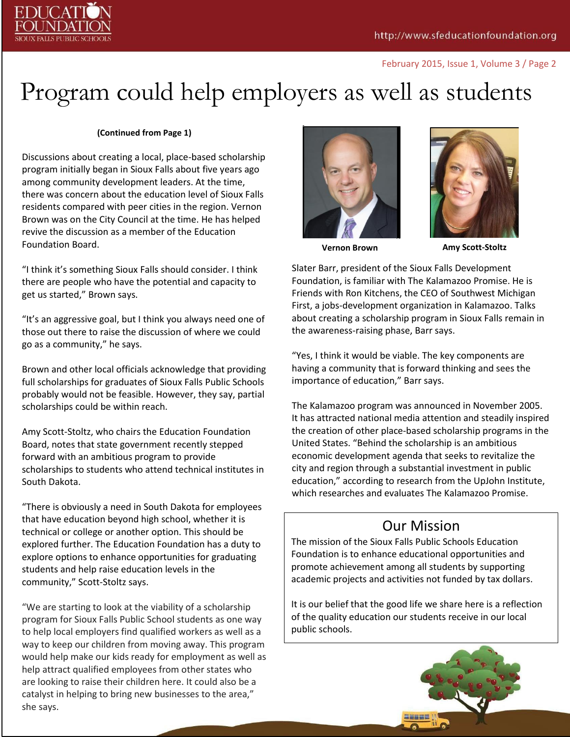

#### February 2015, Issue 1, Volume 3 / Page 2

# Program could help employers as well as students

#### **(Continued from Page 1)**

Discussions about creating a local, place-based scholarship program initially began in Sioux Falls about five years ago among community development leaders. At the time, there was concern about the education level of Sioux Falls residents compared with peer cities in the region. Vernon Brown was on the City Council at the time. He has helped revive the discussion as a member of the Education Foundation Board.

"I think it's something Sioux Falls should consider. I think there are people who have the potential and capacity to get us started," Brown says.

"It's an aggressive goal, but I think you always need one of those out there to raise the discussion of where we could go as a community," he says.

Brown and other local officials acknowledge that providing full scholarships for graduates of Sioux Falls Public Schools probably would not be feasible. However, they say, partial scholarships could be within reach.

Amy Scott-Stoltz, who chairs the Education Foundation Board, notes that state government recently stepped forward with an ambitious program to provide scholarships to students who attend technical institutes in South Dakota.

"There is obviously a need in South Dakota for employees that have education beyond high school, whether it is technical or college or another option. This should be explored further. The Education Foundation has a duty to explore options to enhance opportunities for graduating students and help raise education levels in the community," Scott-Stoltz says.

"We are starting to look at the viability of a scholarship program for Sioux Falls Public School students as one way to help local employers find qualified workers as well as a way to keep our children from moving away. This program would help make our kids ready for employment as well as help attract qualified employees from other states who are looking to raise their children here. It could also be a catalyst in helping to bring new businesses to the area," she says.





**Vernon Brown Amy Scott-Stoltz**

Slater Barr, president of the Sioux Falls Development Foundation, is familiar with The Kalamazoo Promise. He is Friends with Ron Kitchens, the CEO of Southwest Michigan First, a jobs-development organization in Kalamazoo. Talks about creating a scholarship program in Sioux Falls remain in the awareness-raising phase, Barr says.

"Yes, I think it would be viable. The key components are having a community that is forward thinking and sees the importance of education," Barr says.

The Kalamazoo program was announced in November 2005. It has attracted national media attention and steadily inspired the creation of other place-based scholarship programs in the United States. "Behind the scholarship is an ambitious economic development agenda that seeks to revitalize the city and region through a substantial investment in public education," according to research from the UpJohn Institute, which researches and evaluates The Kalamazoo Promise.

### Our Mission

The mission of the Sioux Falls Public Schools Education Foundation is to enhance educational opportunities and promote achievement among all students by supporting academic projects and activities not funded by tax dollars.

It is our belief that the good life we share here is a reflection of the quality education our students receive in our local public schools.

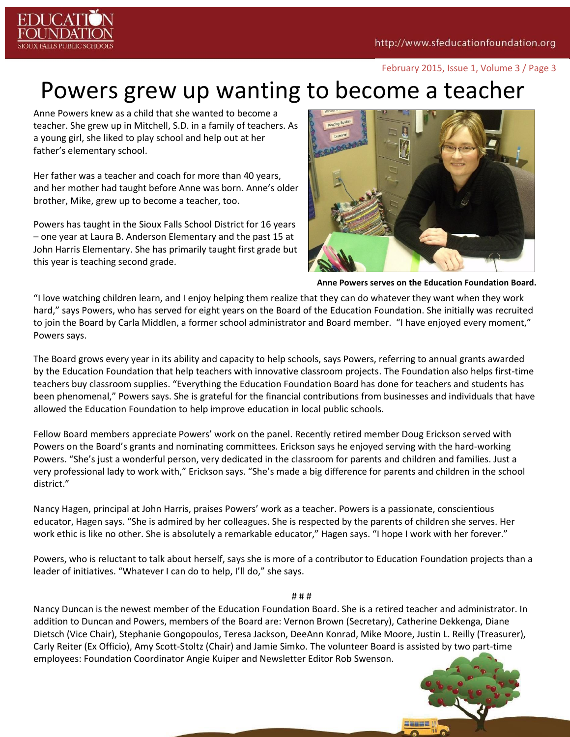

#### February 2015, Issue 1, Volume 3 / Page 3

# Powers grew up wanting to become a teacher

Anne Powers knew as a child that she wanted to become a teacher. She grew up in Mitchell, S.D. in a family of teachers. As a young girl, she liked to play school and help out at her father's elementary school.

Her father was a teacher and coach for more than 40 years, and her mother had taught before Anne was born. Anne's older brother, Mike, grew up to become a teacher, too.

Powers has taught in the Sioux Falls School District for 16 years – one year at Laura B. Anderson Elementary and the past 15 at John Harris Elementary. She has primarily taught first grade but this year is teaching second grade.



**Anne Powers serves on the Education Foundation Board.**

"I love watching children learn, and I enjoy helping them realize that they can do whatever they want when they work hard," says Powers, who has served for eight years on the Board of the Education Foundation. She initially was recruited to join the Board by Carla Middlen, a former school administrator and Board member. "I have enjoyed every moment," Powers says.

The Board grows every year in its ability and capacity to help schools, says Powers, referring to annual grants awarded by the Education Foundation that help teachers with innovative classroom projects. The Foundation also helps first-time teachers buy classroom supplies. "Everything the Education Foundation Board has done for teachers and students has been phenomenal," Powers says. She is grateful for the financial contributions from businesses and individuals that have allowed the Education Foundation to help improve education in local public schools.

Fellow Board members appreciate Powers' work on the panel. Recently retired member Doug Erickson served with Powers on the Board's grants and nominating committees. Erickson says he enjoyed serving with the hard-working Powers. "She's just a wonderful person, very dedicated in the classroom for parents and children and families. Just a very professional lady to work with," Erickson says. "She's made a big difference for parents and children in the school district."

Nancy Hagen, principal at John Harris, praises Powers' work as a teacher. Powers is a passionate, conscientious educator, Hagen says. "She is admired by her colleagues. She is respected by the parents of children she serves. Her work ethic is like no other. She is absolutely a remarkable educator," Hagen says. "I hope I work with her forever."

Powers, who is reluctant to talk about herself, says she is more of a contributor to Education Foundation projects than a leader of initiatives. "Whatever I can do to help, I'll do," she says.

#### # # #

Nancy Duncan is the newest member of the Education Foundation Board. She is a retired teacher and administrator. In addition to Duncan and Powers, members of the Board are: Vernon Brown (Secretary), Catherine Dekkenga, Diane Dietsch (Vice Chair), Stephanie Gongopoulos, Teresa Jackson, DeeAnn Konrad, Mike Moore, Justin L. Reilly (Treasurer), Carly Reiter (Ex Officio), Amy Scott-Stoltz (Chair) and Jamie Simko. The volunteer Board is assisted by two part-time employees: Foundation Coordinator Angie Kuiper and Newsletter Editor Rob Swenson.

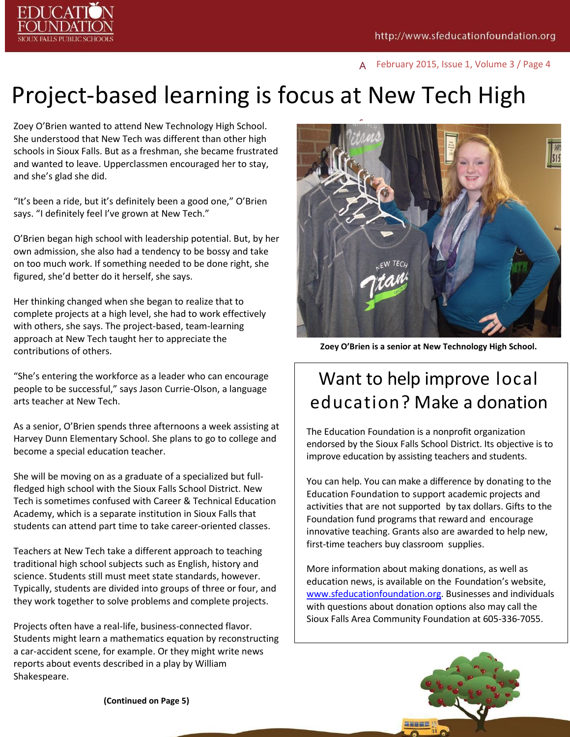

A February 2015, Issue 1, Volume 3 / Page 4

## g Project-based learning is focus at New Tech High

Zoey O'Brien wanted to attend New Technology High School. She understood that New Tech was different than other high schools in Sioux Falls. But as a freshman, she became frustrated and wanted to leave. Upperclassmen encouraged her to stay, and she's glad she did.

"It's been a ride, but it's definitely been a good one," O'Brien says. "I definitely feel I've grown at New Tech."

O'Brien began high school with leadership potential. But, by her own admission, she also had a tendency to be bossy and take on too much work. If something needed to be done right, she figured, she'd better do it herself, she says.

Her thinking changed when she began to realize that to complete projects at a high level, she had to work effectively with others, she says. The project-based, team-learning approach at New Tech taught her to appreciate the contributions of others.

"She's entering the workforce as a leader who can encourage people to be successful," says Jason Currie-Olson, a language arts teacher at New Tech.

As a senior, O'Brien spends three afternoons a week assisting at Harvey Dunn Elementary School. She plans to go to college and become a special education teacher.

She will be moving on as a graduate of a specialized but fullfledged high school with the Sioux Falls School District. New Tech is sometimes confused with Career & Technical Education Academy, which is a separate institution in Sioux Falls that students can attend part time to take career-oriented classes.

Teachers at New Tech take a different approach to teaching traditional high school subjects such as English, history and science. Students still must meet state standards, however. Typically, students are divided into groups of three or four, and they work together to solve problems and complete projects.

Projects often have a real-life, business-connected flavor. Students might learn a mathematics equation by reconstructing a car-accident scene, for example. Or they might write news reports about events described in a play by William Shakespeare.



**Zoey O'Brien is a senior at New Technology High School.**

# Want to help improve local education? Make a donation

The Education Foundation is a nonprofit organization endorsed by the Sioux Falls School District. Its objective is to improve education by assisting teachers and students.

You can help. You can make a difference by donating to the Education Foundation to support academic projects and activities that are not supported by tax dollars. Gifts to the Foundation fund programs that reward and encourage innovative teaching. Grants also are awarded to help new, first-time teachers buy classroom supplies.

More information about making donations, as well as education news, is available on the Foundation's website, [www.sfeducationfoundation.org.](http://www.sfeducationfoundation.org/) Businesses and individuals with questions about donation options also may call the Sioux Falls Area Community Foundation at 605-336-7055.



**(Continued on Page 5)**